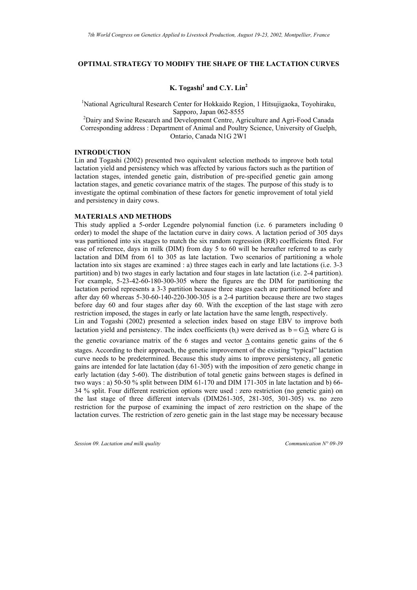## **OPTIMAL STRATEGY TO MODIFY THE SHAPE OF THE LACTATION CURVES**

# **K.** Togashi<sup>1</sup> and C.Y. Lin<sup>2</sup>

<sup>1</sup>National Agricultural Research Center for Hokkaido Region, 1 Hitsujigaoka, Toyohiraku,

Sapporo, Japan 062-8555<br>
<sup>2</sup>Dairy and Swine Research and Development Centre, Agriculture and Agri-Food Canada<sup>2</sup> Corresponding address : Department of Animal and Poultry Science, University of Guelph, Ontario, Canada N1G 2W1

# **INTRODUCTION**

Lin and Togashi (2002) presented two equivalent selection methods to improve both total lactation yield and persistency which was affected by various factors such as the partition of lactation stages, intended genetic gain, distribution of pre-specified genetic gain among lactation stages, and genetic covariance matrix of the stages. The purpose of this study is to investigate the optimal combination of these factors for genetic improvement of total yield and persistency in dairy cows.

#### **MATERIALS AND METHODS**

This study applied a 5-order Legendre polynomial function (i.e. 6 parameters including 0 order) to model the shape of the lactation curve in dairy cows. A lactation period of 305 days was partitioned into six stages to match the six random regression (RR) coefficients fitted. For ease of reference, days in milk (DIM) from day 5 to 60 will be hereafter referred to as early lactation and DIM from 61 to 305 as late lactation. Two scenarios of partitioning a whole lactation into six stages are examined : a) three stages each in early and late lactations (i.e. 3-3 partition) and b) two stages in early lactation and four stages in late lactation (i.e. 2-4 partition). For example, 5-23-42-60-180-300-305 where the figures are the DIM for partitioning the lactation period represents a 3-3 partition because three stages each are partitioned before and after day 60 whereas 5-30-60-140-220-300-305 is a 2-4 partition because there are two stages before day 60 and four stages after day 60. With the exception of the last stage with zero restriction imposed, the stages in early or late lactation have the same length, respectively.

Lin and Togashi (2002) presented a selection index based on stage EBV to improve both lactation yield and persistency. The index coefficients (b<sub>i</sub>) were derived as  $b = G\Delta$  where G is

the genetic covariance matrix of the 6 stages and vector ∆ contains genetic gains of the 6 stages. According to their approach, the genetic improvement of the existing "typical" lactation curve needs to be predetermined. Because this study aims to improve persistency, all genetic gains are intended for late lactation (day 61-305) with the imposition of zero genetic change in early lactation (day 5-60). The distribution of total genetic gains between stages is defined in two ways : a) 50-50 % split between DIM 61-170 and DIM 171-305 in late lactation and b) 66- 34 % split. Four different restriction options were used : zero restriction (no genetic gain) on the last stage of three different intervals (DIM261-305, 281-305, 301-305) vs. no zero restriction for the purpose of examining the impact of zero restriction on the shape of the lactation curves. The restriction of zero genetic gain in the last stage may be necessary because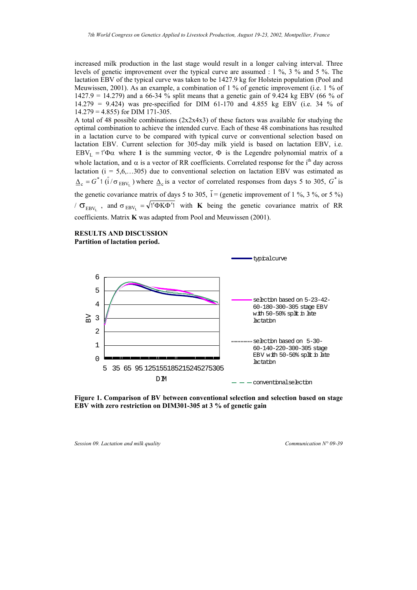increased milk production in the last stage would result in a longer calving interval. Three levels of genetic improvement over the typical curve are assumed : 1 %, 3 % and 5 %. The lactation EBV of the typical curve was taken to be 1427.9 kg for Holstein population (Pool and Meuwissen, 2001). As an example, a combination of 1 % of genetic improvement (i.e. 1 % of 1427.9 = 14.279) and a 66-34 % split means that a genetic gain of 9.424 kg EBV (66 % of 14.279 = 9.424) was pre-specified for DIM 61-170 and 4.855 kg EBV (i.e. 34 % of  $14.279 = 4.855$  for DIM 171-305.

A total of 48 possible combinations  $(2x2x4x3)$  of these factors was available for studying the optimal combination to achieve the intended curve. Each of these 48 combinations has resulted in a lactation curve to be compared with typical curve or conventional selection based on lactation EBV. Current selection for 305-day milk yield is based on lactation EBV, i.e. EBV<sub>L</sub> = 1'Φα where 1 is the summing vector,  $\Phi$  is the Legendre polynomial matrix of a whole lactation, and  $\alpha$  is a vector of RR coefficients. Correlated response for the i<sup>th</sup> day across lactation ( $i = 5, 6, \ldots, 305$ ) due to conventional selection on lactation EBV was estimated as  $\Delta_c = G^* 1 \left( i / \sigma_{EBV_L} \right)$  where  $\Delta_c$  is a vector of correlated responses from days 5 to 305,  $G^*$  is the genetic covariance matrix of days 5 to 305,  $i =$  (genetic improvement of 1 %, 3 %, or 5 %)  $\sigma_{EBV_L}$ , and  $\sigma_{EBV_L} = \sqrt{1/\Phi K \Phi'}$  with **K** being the genetic covariance matrix of RR coefficients. Matrix **K** was adapted from Pool and Meuwissen (2001).

### **RESULTS AND DISCUSSION Partition of lactation period.**



**Figure 1. Comparison of BV between conventional selection and selection based on stage EBV with zero restriction on DIM301-305 at 3 % of genetic gain**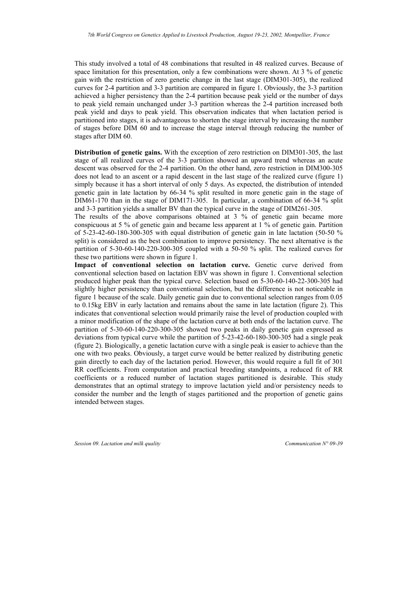This study involved a total of 48 combinations that resulted in 48 realized curves. Because of space limitation for this presentation, only a few combinations were shown. At 3 % of genetic gain with the restriction of zero genetic change in the last stage (DIM301-305), the realized curves for 2-4 partition and 3-3 partition are compared in figure 1. Obviously, the 3-3 partition achieved a higher persistency than the 2-4 partition because peak yield or the number of days to peak yield remain unchanged under 3-3 partition whereas the 2-4 partition increased both peak yield and days to peak yield. This observation indicates that when lactation period is partitioned into stages, it is advantageous to shorten the stage interval by increasing the number of stages before DIM 60 and to increase the stage interval through reducing the number of stages after DIM 60.

**Distribution of genetic gains.** With the exception of zero restriction on DIM301-305, the last stage of all realized curves of the 3-3 partition showed an upward trend whereas an acute descent was observed for the 2-4 partition. On the other hand, zero restriction in DIM300-305 does not lead to an ascent or a rapid descent in the last stage of the realized curve (figure 1) simply because it has a short interval of only 5 days. As expected, the distribution of intended genetic gain in late lactation by 66-34 % split resulted in more genetic gain in the stage of DIM61-170 than in the stage of DIM171-305. In particular, a combination of 66-34 % split and 3-3 partition yields a smaller BV than the typical curve in the stage of DIM261-305.

The results of the above comparisons obtained at 3 % of genetic gain became more conspicuous at 5 % of genetic gain and became less apparent at 1 % of genetic gain. Partition of 5-23-42-60-180-300-305 with equal distribution of genetic gain in late lactation (50-50 % split) is considered as the best combination to improve persistency. The next alternative is the partition of 5-30-60-140-220-300-305 coupled with a 50-50 % split. The realized curves for these two partitions were shown in figure 1.

**Impact of conventional selection on lactation curve.** Genetic curve derived from conventional selection based on lactation EBV was shown in figure 1. Conventional selection produced higher peak than the typical curve. Selection based on 5-30-60-140-22-300-305 had slightly higher persistency than conventional selection, but the difference is not noticeable in figure 1 because of the scale. Daily genetic gain due to conventional selection ranges from 0.05 to 0.15kg EBV in early lactation and remains about the same in late lactation (figure 2). This indicates that conventional selection would primarily raise the level of production coupled with a minor modification of the shape of the lactation curve at both ends of the lactation curve. The partition of 5-30-60-140-220-300-305 showed two peaks in daily genetic gain expressed as deviations from typical curve while the partition of 5-23-42-60-180-300-305 had a single peak (figure 2). Biologically, a genetic lactation curve with a single peak is easier to achieve than the one with two peaks. Obviously, a target curve would be better realized by distributing genetic gain directly to each day of the lactation period. However, this would require a full fit of 301 RR coefficients. From computation and practical breeding standpoints, a reduced fit of RR coefficients or a reduced number of lactation stages partitioned is desirable. This study demonstrates that an optimal strategy to improve lactation yield and/or persistency needs to consider the number and the length of stages partitioned and the proportion of genetic gains intended between stages.